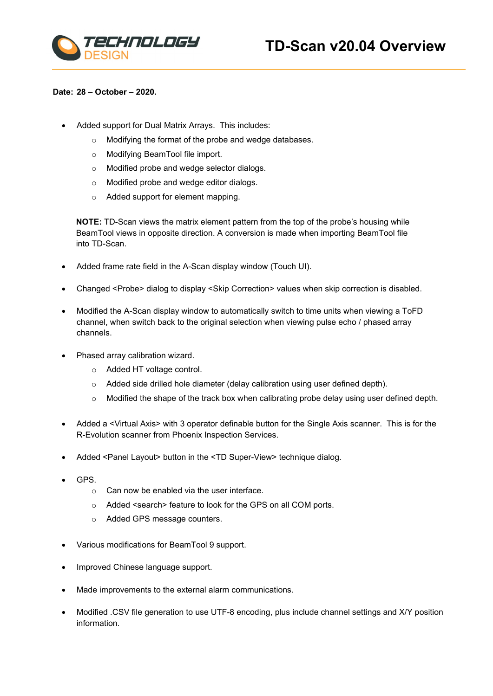



## **Date: 28 – October – 2020.**

- Added support for Dual Matrix Arrays. This includes:
	- o Modifying the format of the probe and wedge databases.
	- o Modifying BeamTool file import.
	- o Modified probe and wedge selector dialogs.
	- o Modified probe and wedge editor dialogs.
	- o Added support for element mapping.

**NOTE:** TD-Scan views the matrix element pattern from the top of the probe's housing while BeamTool views in opposite direction. A conversion is made when importing BeamTool file into TD-Scan.

- Added frame rate field in the A-Scan display window (Touch UI).
- Changed <Probe> dialog to display <Skip Correction> values when skip correction is disabled.
- Modified the A-Scan display window to automatically switch to time units when viewing a ToFD channel, when switch back to the original selection when viewing pulse echo / phased array channels.
- Phased array calibration wizard.
	- o Added HT voltage control.
	- o Added side drilled hole diameter (delay calibration using user defined depth).
	- o Modified the shape of the track box when calibrating probe delay using user defined depth.
- Added a <Virtual Axis> with 3 operator definable button for the Single Axis scanner. This is for the R-Evolution scanner from Phoenix Inspection Services.
- Added <Panel Layout> button in the <TD Super-View> technique dialog.
- GPS.
	- $\circ$  Can now be enabled via the user interface.
	- o Added <search> feature to look for the GPS on all COM ports.
	- o Added GPS message counters.
- Various modifications for BeamTool 9 support.
- Improved Chinese language support.
- Made improvements to the external alarm communications.
- Modified .CSV file generation to use UTF-8 encoding, plus include channel settings and X/Y position information.